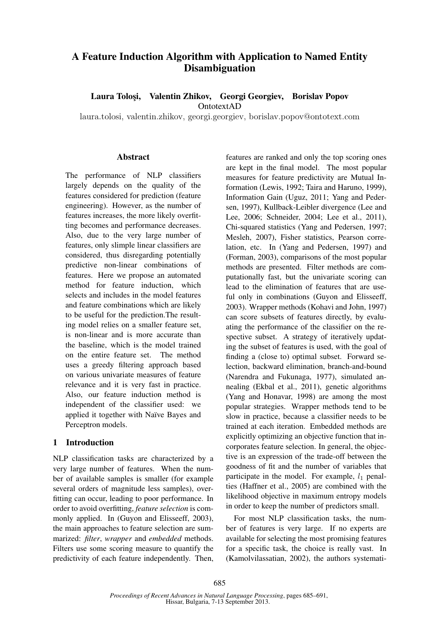# A Feature Induction Algorithm with Application to Named Entity Disambiguation

Laura Tolosi, Valentin Zhikov, Georgi Georgiev, Borislav Popov OntotextAD

laura.tolosi, valentin.zhikov, georgi.georgiev, borislav.popov@ontotext.com

## Abstract

The performance of NLP classifiers largely depends on the quality of the features considered for prediction (feature engineering). However, as the number of features increases, the more likely overfitting becomes and performance decreases. Also, due to the very large number of features, only slimple linear classifiers are considered, thus disregarding potentially predictive non-linear combinations of features. Here we propose an automated method for feature induction, which selects and includes in the model features and feature combinations which are likely to be useful for the prediction.The resulting model relies on a smaller feature set, is non-linear and is more accurate than the baseline, which is the model trained on the entire feature set. The method uses a greedy filtering approach based on various univariate measures of feature relevance and it is very fast in practice. Also, our feature induction method is independent of the classifier used: we applied it together with Naïve Bayes and Perceptron models.

# 1 Introduction

NLP classification tasks are characterized by a very large number of features. When the number of available samples is smaller (for example several orders of magnitude less samples), overfitting can occur, leading to poor performance. In order to avoid overfitting, *feature selection* is commonly applied. In (Guyon and Elisseeff, 2003), the main approaches to feature selection are summarized: *filter*, *wrapper* and *embedded* methods. Filters use some scoring measure to quantify the predictivity of each feature independently. Then,

features are ranked and only the top scoring ones are kept in the final model. The most popular measures for feature predictivity are Mutual Information (Lewis, 1992; Taira and Haruno, 1999), Information Gain (Uguz, 2011; Yang and Pedersen, 1997), Kullback-Leibler divergence (Lee and Lee, 2006; Schneider, 2004; Lee et al., 2011), Chi-squared statistics (Yang and Pedersen, 1997; Mesleh, 2007), Fisher statistics, Pearson correlation, etc. In (Yang and Pedersen, 1997) and (Forman, 2003), comparisons of the most popular methods are presented. Filter methods are computationally fast, but the univariate scoring can lead to the elimination of features that are useful only in combinations (Guyon and Elisseeff, 2003). Wrapper methods (Kohavi and John, 1997) can score subsets of features directly, by evaluating the performance of the classifier on the respective subset. A strategy of iteratively updating the subset of features is used, with the goal of finding a (close to) optimal subset. Forward selection, backward elimination, branch-and-bound (Narendra and Fukunaga, 1977), simulated annealing (Ekbal et al., 2011), genetic algorithms (Yang and Honavar, 1998) are among the most popular strategies. Wrapper methods tend to be slow in practice, because a classifier needs to be trained at each iteration. Embedded methods are explicitly optimizing an objective function that incorporates feature selection. In general, the objective is an expression of the trade-off between the goodness of fit and the number of variables that participate in the model. For example,  $l_1$  penalties (Haffner et al., 2005) are combined with the likelihood objective in maximum entropy models in order to keep the number of predictors small.

For most NLP classification tasks, the number of features is very large. If no experts are available for selecting the most promising features for a specific task, the choice is really vast. In (Kamolvilassatian, 2002), the authors systemati-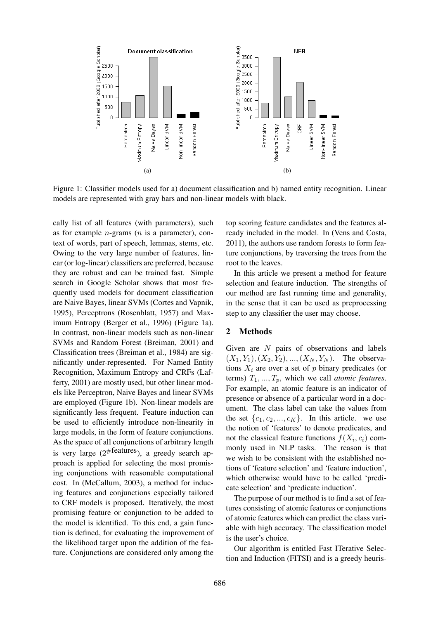

Figure 1: Classifier models used for a) document classification and b) named entity recognition. Linear models are represented with gray bars and non-linear models with black.

cally list of all features (with parameters), such as for example *n*-grams ( $n$  is a parameter), context of words, part of speech, lemmas, stems, etc. Owing to the very large number of features, linear (or log-linear) classifiers are preferred, because they are robust and can be trained fast. Simple search in Google Scholar shows that most frequently used models for document classification are Naive Bayes, linear SVMs (Cortes and Vapnik, 1995), Perceptrons (Rosenblatt, 1957) and Maximum Entropy (Berger et al., 1996) (Figure 1a). In contrast, non-linear models such as non-linear SVMs and Random Forest (Breiman, 2001) and Classification trees (Breiman et al., 1984) are significantly under-represented. For Named Entity Recognition, Maximum Entropy and CRFs (Lafferty, 2001) are mostly used, but other linear models like Perceptron, Naive Bayes and linear SVMs are employed (Figure 1b). Non-linear models are significantly less frequent. Feature induction can be used to efficiently introduce non-linearity in large models, in the form of feature conjunctions. As the space of all conjunctions of arbitrary length is very large  $(2^{#features})$ , a greedy search approach is applied for selecting the most promising conjunctions with reasonable computational cost. In (McCallum, 2003), a method for inducing features and conjunctions especially tailored to CRF models is proposed. Iteratively, the most promising feature or conjunction to be added to the model is identified. To this end, a gain function is defined, for evaluating the improvement of the likelihood target upon the addition of the feature. Conjunctions are considered only among the top scoring feature candidates and the features already included in the model. In (Vens and Costa, 2011), the authors use random forests to form feature conjunctions, by traversing the trees from the root to the leaves.

In this article we present a method for feature selection and feature induction. The strengths of our method are fast running time and generality, in the sense that it can be used as preprocessing step to any classifier the user may choose.

# 2 Methods

Given are  $N$  pairs of observations and labels  $(X_1, Y_1), (X_2, Y_2), ..., (X_N, Y_N)$ . The observations  $X_i$  are over a set of p binary predicates (or terms)  $T_1, ..., T_p$ , which we call *atomic features*. For example, an atomic feature is an indicator of presence or absence of a particular word in a document. The class label can take the values from the set  $\{c_1, c_2, ..., c_K\}$ . In this article. we use the notion of 'features' to denote predicates, and not the classical feature functions  $f(X_i, c_i)$  commonly used in NLP tasks. The reason is that we wish to be consistent with the established notions of 'feature selection' and 'feature induction', which otherwise would have to be called 'predicate selection' and 'predicate induction'.

The purpose of our method is to find a set of features consisting of atomic features or conjunctions of atomic features which can predict the class variable with high accuracy. The classification model is the user's choice.

Our algorithm is entitled Fast ITerative Selection and Induction (FITSI) and is a greedy heuris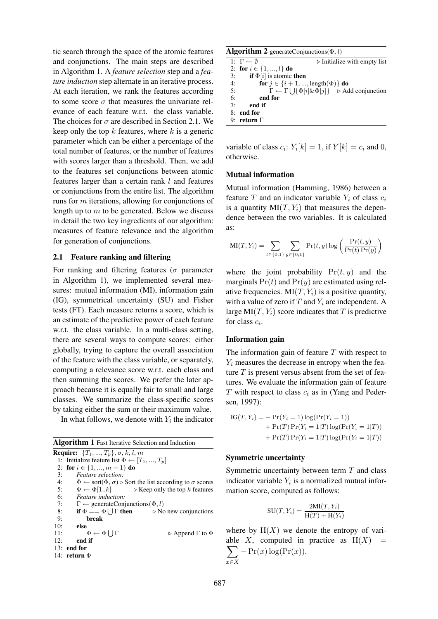tic search through the space of the atomic features and conjunctions. The main steps are described in Algorithm 1. A *feature selection* step and a *feature induction* step alternate in an iterative process. At each iteration, we rank the features according to some score  $\sigma$  that measures the univariate relevance of each feature w.r.t. the class variable. The choices for  $\sigma$  are described in Section 2.1. We keep only the top  $k$  features, where  $k$  is a generic parameter which can be either a percentage of the total number of features, or the number of features with scores larger than a threshold. Then, we add to the features set conjunctions between atomic features larger than a certain rank l and features or conjunctions from the entire list. The algorithm runs for m iterations, allowing for conjunctions of length up to  $m$  to be generated. Below we discuss in detail the two key ingredients of our algorithm: measures of feature relevance and the algorithm for generation of conjunctions.

# 2.1 Feature ranking and filtering

For ranking and filtering features ( $\sigma$  parameter in Algorithm 1), we implemented several measures: mutual information (MI), information gain (IG), symmetrical uncertainty (SU) and Fisher tests (FT). Each measure returns a score, which is an estimate of the predictive power of each feature w.r.t. the class variable. In a multi-class setting, there are several ways to compute scores: either globally, trying to capture the overall association of the feature with the class variable, or separately, computing a relevance score w.r.t. each class and then summing the scores. We prefer the later approach because it is equally fair to small and large classes. We summarize the class-specific scores by taking either the sum or their maximum value.

In what follows, we denote with  $Y_i$  the indicator

| <b>Algorithm 1</b> Fast Iterative Selection and Induction                                                          |  |  |  |
|--------------------------------------------------------------------------------------------------------------------|--|--|--|
| <b>Require:</b> $\{T_1, , T_p\}, \sigma, k, l, m\}$                                                                |  |  |  |
| 1: Initialize feature list $\Phi \leftarrow [T_1, , T_n]$                                                          |  |  |  |
| 2: for $i \in \{1, , m-1\}$ do                                                                                     |  |  |  |
| 3:<br><i>Feature selection:</i>                                                                                    |  |  |  |
| 4:<br>$\Phi \leftarrow \text{sort}(\Phi, \sigma) \triangleright \text{Sort}$ the list according to $\sigma$ scores |  |  |  |
| 5: $\Phi \leftarrow \Phi[1k]$ $\triangleright$ Keep only the top k features                                        |  |  |  |
| 6:<br><i>Feature induction:</i>                                                                                    |  |  |  |
| 7:<br>$\Gamma \leftarrow$ generateConjunctions( $\Phi, l$ )                                                        |  |  |  |
| if $\Phi = \Phi \cup \Gamma$ then $\triangleright$ No new conjunctions<br>8:                                       |  |  |  |
| 9:<br>break                                                                                                        |  |  |  |
| 10:<br>else                                                                                                        |  |  |  |
| $\Phi \leftarrow \Phi$   J $\Gamma$<br>11:<br>$\triangleright$ Append $\Gamma$ to $\Phi$                           |  |  |  |
| end if<br>12:                                                                                                      |  |  |  |
| $13:$ end for                                                                                                      |  |  |  |
| 14: return $\Phi$                                                                                                  |  |  |  |

| <b>Algorithm 2</b> generate Conjunctions ( $\Phi$ , <i>l</i> ) |                                           |                                                                                           |  |  |  |
|----------------------------------------------------------------|-------------------------------------------|-------------------------------------------------------------------------------------------|--|--|--|
|                                                                | 1: $\Gamma \leftarrow \emptyset$          | $\triangleright$ Initialize with empty list                                               |  |  |  |
|                                                                | 2: for $i \in \{1, , l\}$ do              |                                                                                           |  |  |  |
| 3:                                                             | <b>if</b> $\Phi[i]$ is atomic <b>then</b> |                                                                                           |  |  |  |
| 4:                                                             |                                           | for $j \in \{i+1, , \text{length}(\Phi)\}\$ do                                            |  |  |  |
| 5:                                                             |                                           | $\Gamma \leftarrow \Gamma \cup \{ \Phi[i] \& \Phi[j] \}$ $\triangleright$ Add conjunction |  |  |  |
| 6:                                                             | end for                                   |                                                                                           |  |  |  |
| 7.                                                             | end if                                    |                                                                                           |  |  |  |

- 7: end if
- 8: end for
- 9: return Γ

variable of class  $c_i$ :  $Y_i[k] = 1$ , if  $Y[k] = c_i$  and 0, otherwise.

#### Mutual information

Mutual information (Hamming, 1986) between a feature T and an indicator variable  $Y_i$  of class  $c_i$ is a quantity  $MI(T, Y_i)$  that measures the dependence between the two variables. It is calculated as:

$$
MI(T, Y_i) = \sum_{t \in \{0, 1\}} \sum_{y \in \{0, 1\}} Pr(t, y) \log \left( \frac{Pr(t, y)}{Pr(t) Pr(y)} \right)
$$

where the joint probability  $Pr(t, y)$  and the marginals  $Pr(t)$  and  $Pr(y)$  are estimated using relative frequencies.  $MI(T, Y_i)$  is a positive quantity, with a value of zero if  $T$  and  $Y_i$  are independent. A large  $MI(T, Y_i)$  score indicates that T is predictive for class  $c_i$ .

#### Information gain

The information gain of feature  $T$  with respect to  $Y_i$  measures the decrease in entropy when the feature  $T$  is present versus absent from the set of features. We evaluate the information gain of feature  $T$  with respect to class  $c_i$  as in (Yang and Pedersen, 1997):

IG(T, Yi) = − Pr(Y<sup>i</sup> = 1) log(Pr(Y<sup>i</sup> = 1)) + Pr(T) Pr(Y<sup>i</sup> = 1|T) log(Pr(Y<sup>i</sup> = 1|T)) + Pr(T¯) Pr(Y<sup>i</sup> = 1|T¯) log(Pr(Y<sup>i</sup> = 1|T¯))

#### Symmetric uncertainty

Symmetric uncertainty between term  $T$  and class indicator variable  $Y_i$  is a normalized mutual information score, computed as follows:

$$
SU(T, Y_i) = \frac{2MI(T, Y_i)}{H(T) + H(Y_i)}
$$

where by  $H(X)$  we denote the entropy of variable X, computed in practice as  $H(X) =$  $\sum -\Pr(x) \log(\Pr(x)).$ x∈X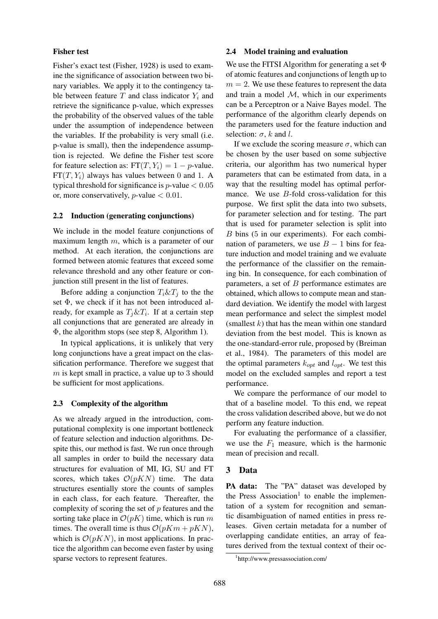# Fisher test

Fisher's exact test (Fisher, 1928) is used to examine the significance of association between two binary variables. We apply it to the contingency table between feature  $T$  and class indicator  $Y_i$  and retrieve the significance p-value, which expresses the probability of the observed values of the table under the assumption of independence between the variables. If the probability is very small (i.e. p-value is small), then the independence assumption is rejected. We define the Fisher test score for feature selection as:  $FT(T, Y_i) = 1 - p$ -value.  $FT(T, Y<sub>i</sub>)$  always has values between 0 and 1. A typical threshold for significance is  $p$ -value  $< 0.05$ or, more conservatively,  $p$ -value  $< 0.01$ .

#### 2.2 Induction (generating conjunctions)

We include in the model feature conjunctions of maximum length m, which is a parameter of our method. At each iteration, the conjunctions are formed between atomic features that exceed some relevance threshold and any other feature or conjunction still present in the list of features.

Before adding a conjunction  $T_i \& T_j$  to the the set Φ, we check if it has not been introduced already, for example as  $T_j \& T_i$ . If at a certain step all conjunctions that are generated are already in Φ, the algorithm stops (see step 8, Algorithm 1).

In typical applications, it is unlikely that very long conjunctions have a great impact on the classification performance. Therefore we suggest that  $m$  is kept small in practice, a value up to 3 should be sufficient for most applications.

# 2.3 Complexity of the algorithm

As we already argued in the introduction, computational complexity is one important bottleneck of feature selection and induction algorithms. Despite this, our method is fast. We run once through all samples in order to build the necessary data structures for evaluation of MI, IG, SU and FT scores, which takes  $\mathcal{O}(pKN)$  time. The data structures esentially store the counts of samples in each class, for each feature. Thereafter, the complexity of scoring the set of  $p$  features and the sorting take place in  $\mathcal{O}(pK)$  time, which is run m times. The overall time is thus  $\mathcal{O}(pKm + pKN)$ , which is  $\mathcal{O}(pKN)$ , in most applications. In practice the algorithm can become even faster by using sparse vectors to represent features.

# 2.4 Model training and evaluation

We use the FITSI Algorithm for generating a set  $\Phi$ of atomic features and conjunctions of length up to  $m = 2$ . We use these features to represent the data and train a model  $M$ , which in our experiments can be a Perceptron or a Naive Bayes model. The performance of the algorithm clearly depends on the parameters used for the feature induction and selection:  $\sigma$ , k and l.

If we exclude the scoring measure  $\sigma$ , which can be chosen by the user based on some subjective criteria, our algorithm has two numerical hyper parameters that can be estimated from data, in a way that the resulting model has optimal performance. We use B-fold cross-validation for this purpose. We first split the data into two subsets, for parameter selection and for testing. The part that is used for parameter selection is split into B bins (5 in our experiments). For each combination of parameters, we use  $B - 1$  bins for feature induction and model training and we evaluate the performance of the classifier on the remaining bin. In consequence, for each combination of parameters, a set of  $B$  performance estimates are obtained, which allows to compute mean and standard deviation. We identify the model with largest mean performance and select the simplest model (smallest  $k$ ) that has the mean within one standard deviation from the best model. This is known as the one-standard-error rule, proposed by (Breiman et al., 1984). The parameters of this model are the optimal parameters  $k_{opt}$  and  $l_{opt}$ . We test this model on the excluded samples and report a test performance.

We compare the performance of our model to that of a baseline model. To this end, we repeat the cross validation described above, but we do not perform any feature induction.

For evaluating the performance of a classifier, we use the  $F_1$  measure, which is the harmonic mean of precision and recall.

# 3 Data

PA data: The "PA" dataset was developed by the Press Association<sup>1</sup> to enable the implementation of a system for recognition and semantic disambiguation of named entities in press releases. Given certain metadata for a number of overlapping candidate entities, an array of features derived from the textual context of their oc-

<sup>1</sup> http://www.pressassociation.com/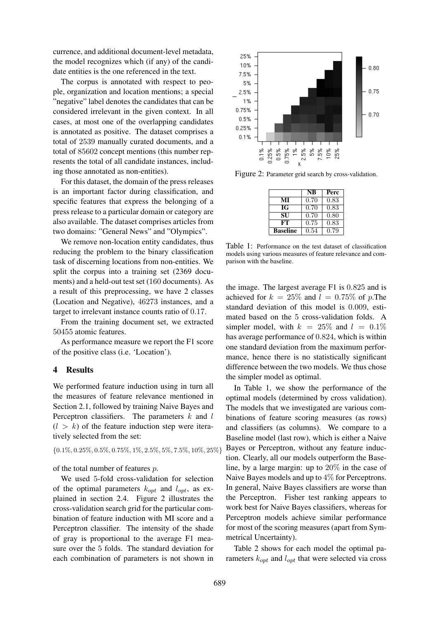currence, and additional document-level metadata, the model recognizes which (if any) of the candidate entities is the one referenced in the text.

The corpus is annotated with respect to people, organization and location mentions; a special "negative" label denotes the candidates that can be considered irrelevant in the given context. In all cases, at most one of the overlapping candidates is annotated as positive. The dataset comprises a total of 2539 manually curated documents, and a total of 85602 concept mentions (this number represents the total of all candidate instances, including those annotated as non-entities).

For this dataset, the domain of the press releases is an important factor during classification, and specific features that express the belonging of a press release to a particular domain or category are also available. The dataset comprises articles from two domains: "General News" and "Olympics".

We remove non-location entity candidates, thus reducing the problem to the binary classification task of discerning locations from non-entities. We split the corpus into a training set (2369 documents) and a held-out test set (160 documents). As a result of this preprocessing, we have 2 classes (Location and Negative), 46273 instances, and a target to irrelevant instance counts ratio of 0.17.

From the training document set, we extracted 50455 atomic features.

As performance measure we report the F1 score of the positive class (i.e. 'Location').

# 4 Results

We performed feature induction using in turn all the measures of feature relevance mentioned in Section 2.1, followed by training Naive Bayes and Perceptron classifiers. The parameters  $k$  and  $l$  $(l > k)$  of the feature induction step were iteratively selected from the set:

$$
\{0.1\%, 0.25\%, 0.5\%, 0.75\%, 1\%, 2.5\%, 5\%, 7.5\%, 10\%, 25\%\}
$$

of the total number of features p.

We used 5-fold cross-validation for selection of the optimal parameters  $k_{opt}$  and  $l_{opt}$ , as explained in section 2.4. Figure 2 illustrates the cross-validation search grid for the particular combination of feature induction with MI score and a Perceptron classifier. The intensity of the shade of gray is proportional to the average F1 measure over the 5 folds. The standard deviation for each combination of parameters is not shown in



Figure 2: Parameter grid search by cross-validation.

|                 | NB   | Perc |
|-----------------|------|------|
| МI              | 0.70 | 0.83 |
| IG              | 0.70 | 0.83 |
| SU              | 0.70 | 0.80 |
| FТ              | 0.75 | 0.83 |
| <b>Baseline</b> | 0.54 | 0.79 |

Table 1: Performance on the test dataset of classification models using various measures of feature relevance and comparison with the baseline.

the image. The largest average F1 is 0.825 and is achieved for  $k = 25\%$  and  $l = 0.75\%$  of p. The standard deviation of this model is 0.009, estimated based on the 5 cross-validation folds. A simpler model, with  $k = 25\%$  and  $l = 0.1\%$ has average performance of 0.824, which is within one standard deviation from the maximum performance, hence there is no statistically significant difference between the two models. We thus chose the simpler model as optimal.

In Table 1, we show the performance of the optimal models (determined by cross validation). The models that we investigated are various combinations of feature scoring measures (as rows) and classifiers (as columns). We compare to a Baseline model (last row), which is either a Naive Bayes or Perceptron, without any feature induction. Clearly, all our models outperform the Baseline, by a large margin: up to 20% in the case of Naive Bayes models and up to 4% for Perceptrons. In general, Naive Bayes classifiers are worse than the Perceptron. Fisher test ranking appears to work best for Naive Bayes classifiers, whereas for Perceptron models achieve similar performance for most of the scoring measures (apart from Symmetrical Uncertainty).

Table 2 shows for each model the optimal parameters  $k_{opt}$  and  $l_{opt}$  that were selected via cross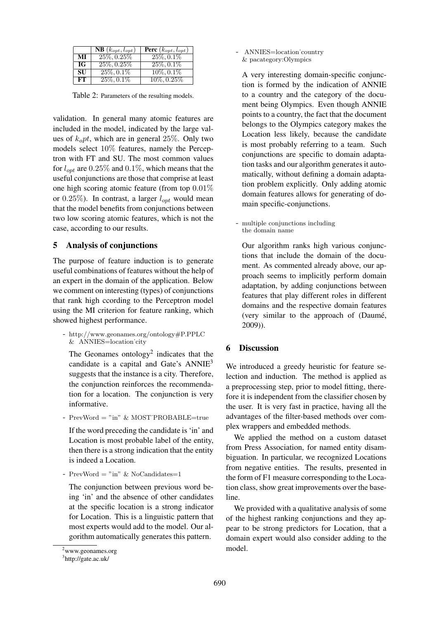|           | $\overline{\text{NB}}\left(k_{opt},l_{opt}\right)$ | <b>Perc</b> $(k_{opt}, l_{opt})$ |
|-----------|----------------------------------------------------|----------------------------------|
| МI        | $25\%, 0.25\%$                                     | $25\%, 0.1\%$                    |
| IG        | 25\%, 0.25\%                                       | $25\%, 0.1\%$                    |
| <b>SU</b> | $25\%, 0.1\%$                                      | $10\%, 0.1\%$                    |
| FT.       | $25\%, 0.1\%$                                      | $10\%, 0.25\%$                   |

Table 2: Parameters of the resulting models.

validation. In general many atomic features are included in the model, indicated by the large values of  $k_0 pt$ , which are in general 25%. Only two models select 10% features, namely the Perceptron with FT and SU. The most common values for  $l_{opt}$  are 0.25% and 0.1%, which means that the useful conjunctions are those that comprise at least one high scoring atomic feature (from top 0.01% or 0.25%). In contrast, a larger  $l_{opt}$  would mean that the model benefits from conjunctions between two low scoring atomic features, which is not the case, according to our results.

# 5 Analysis of conjunctions

The purpose of feature induction is to generate useful combinations of features without the help of an expert in the domain of the application. Below we comment on interesting (types) of conjunctions that rank high ccording to the Perceptron model using the MI criterion for feature ranking, which showed highest performance.

- http://www.geonames.org/ontology#P.PPLC & ANNIES=location˙city

The Geonames ontology<sup>2</sup> indicates that the candidate is a capital and Gate's ANNIE<sup>3</sup> suggests that the instance is a city. Therefore, the conjunction reinforces the recommendation for a location. The conjunction is very informative.

- PrevWord  $=$  "in" & MOST PROBABLE=true

If the word preceding the candidate is 'in' and Location is most probable label of the entity, then there is a strong indication that the entity is indeed a Location.

- PrevWord  $=$  "in" & NoCandidates=1

The conjunction between previous word being 'in' and the absence of other candidates at the specific location is a strong indicator for Location. This is a linguistic pattern that most experts would add to the model. Our algorithm automatically generates this pattern.

- ANNIES=location˙country & pacategory:Olympics

A very interesting domain-specific conjunction is formed by the indication of ANNIE to a country and the category of the document being Olympics. Even though ANNIE points to a country, the fact that the document belongs to the Olympics category makes the Location less likely, because the candidate is most probably referring to a team. Such conjunctions are specific to domain adaptation tasks and our algorithm generates it automatically, without defining a domain adaptation problem explicitly. Only adding atomic domain features allows for generating of domain specific-conjunctions.

- multiple conjunctions including the domain name

Our algorithm ranks high various conjunctions that include the domain of the document. As commented already above, our approach seems to implicitly perform domain adaptation, by adding conjunctions between features that play different roles in different domains and the respective domain features (very similar to the approach of (Daumé, 2009)).

# 6 Discussion

We introduced a greedy heuristic for feature selection and induction. The method is applied as a preprocessing step, prior to model fitting, therefore it is independent from the classifier chosen by the user. It is very fast in practice, having all the advantages of the filter-based methods over complex wrappers and embedded methods.

We applied the method on a custom dataset from Press Association, for named entity disambiguation. In particular, we recognized Locations from negative entities. The results, presented in the form of F1 measure corresponding to the Location class, show great improvements over the baseline.

We provided with a qualitative analysis of some of the highest ranking conjunctions and they appear to be strong predictors for Location, that a domain expert would also consider adding to the model.

<sup>2</sup>www.geonames.org

<sup>3</sup> http://gate.ac.uk/